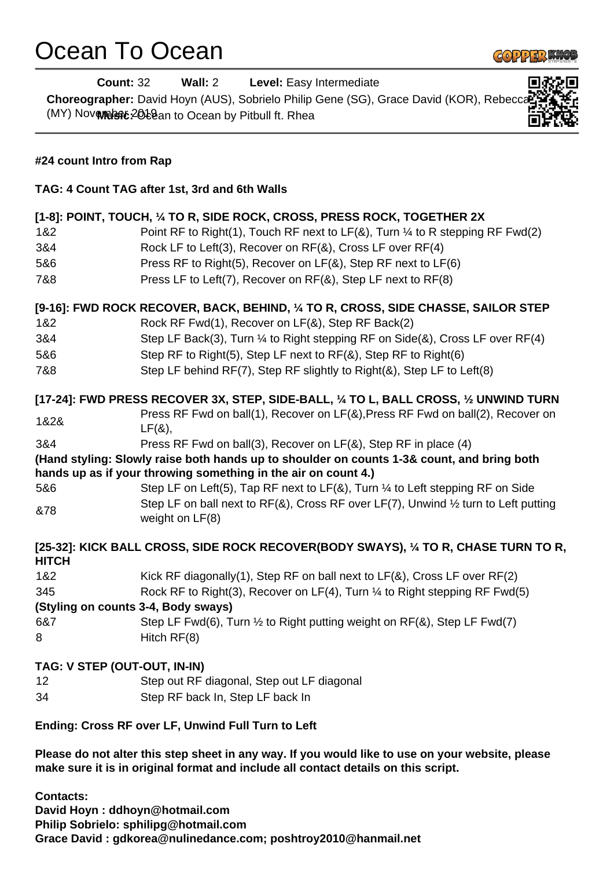## Ocean To Ocean



|                                                                                                                                                       | <b>Count: 32</b><br><b>Wall: 2</b> Level: Easy Intermediate                                                                                                  |     |                                                                                             |
|-------------------------------------------------------------------------------------------------------------------------------------------------------|--------------------------------------------------------------------------------------------------------------------------------------------------------------|-----|---------------------------------------------------------------------------------------------|
| Choreographer: David Hoyn (AUS), Sobrielo Philip Gene (SG), Grace David (KOR), Rebeccal<br>(MY) Novembert: 2018an to Ocean by Pitbull ft. Rhea        |                                                                                                                                                              |     |                                                                                             |
| #24 count Intro from Rap<br>TAG: 4 Count TAG after 1st, 3rd and 6th Walls<br>[1-8]: POINT, TOUCH, 1/4 TO R, SIDE ROCK, CROSS, PRESS ROCK, TOGETHER 2X |                                                                                                                                                              |     |                                                                                             |
|                                                                                                                                                       |                                                                                                                                                              | 1&2 | Point RF to Right(1), Touch RF next to $LF(8)$ , Turn $\frac{1}{4}$ to R stepping RF Fwd(2) |
|                                                                                                                                                       |                                                                                                                                                              | 3&4 | Rock LF to Left(3), Recover on RF(&), Cross LF over RF(4)                                   |
| 5&6                                                                                                                                                   | Press RF to Right(5), Recover on LF(&), Step RF next to LF(6)                                                                                                |     |                                                                                             |
| 7&8                                                                                                                                                   | Press LF to Left(7), Recover on RF(&), Step LF next to RF(8)                                                                                                 |     |                                                                                             |
|                                                                                                                                                       | [9-16]: FWD ROCK RECOVER, BACK, BEHIND, 1/4 TO R, CROSS, SIDE CHASSE, SAILOR STEP                                                                            |     |                                                                                             |
| 1&2                                                                                                                                                   | Rock RF Fwd(1), Recover on LF(&), Step RF Back(2)                                                                                                            |     |                                                                                             |
| 3&4                                                                                                                                                   | Step LF Back(3), Turn 1/4 to Right stepping RF on Side(&), Cross LF over RF(4)                                                                               |     |                                                                                             |
| 5&6                                                                                                                                                   | Step RF to Right(5), Step LF next to RF(&), Step RF to Right(6)                                                                                              |     |                                                                                             |
| 7&8                                                                                                                                                   | Step LF behind RF(7), Step RF slightly to Right(&), Step LF to Left(8)                                                                                       |     |                                                                                             |
|                                                                                                                                                       | [17-24]: FWD PRESS RECOVER 3X, STEP, SIDE-BALL, 1/4 TO L, BALL CROSS, 1/2 UNWIND TURN                                                                        |     |                                                                                             |
| 1&2&                                                                                                                                                  | Press RF Fwd on ball(1), Recover on LF(&), Press RF Fwd on ball(2), Recover on<br>$LF(8)$ ,                                                                  |     |                                                                                             |
| 3&4                                                                                                                                                   | Press RF Fwd on ball(3), Recover on LF(&), Step RF in place (4)                                                                                              |     |                                                                                             |
|                                                                                                                                                       | (Hand styling: Slowly raise both hands up to shoulder on counts 1-3& count, and bring both<br>hands up as if your throwing something in the air on count 4.) |     |                                                                                             |
| 5&6                                                                                                                                                   | Step LF on Left(5), Tap RF next to LF( $\&$ ), Turn $\frac{1}{4}$ to Left stepping RF on Side                                                                |     |                                                                                             |
| &78                                                                                                                                                   | Step LF on ball next to RF(&), Cross RF over LF(7), Unwind 1/2 turn to Left putting<br>weight on LF(8)                                                       |     |                                                                                             |
| <b>HITCH</b>                                                                                                                                          | [25-32]: KICK BALL CROSS, SIDE ROCK RECOVER(BODY SWAYS), 1/4 TO R, CHASE TURN TO R,                                                                          |     |                                                                                             |
| 1&2                                                                                                                                                   | Kick RF diagonally(1), Step RF on ball next to $LF(8)$ , Cross LF over $RF(2)$                                                                               |     |                                                                                             |
| 345                                                                                                                                                   | Rock RF to Right(3), Recover on LF(4), Turn 1/4 to Right stepping RF Fwd(5)                                                                                  |     |                                                                                             |
|                                                                                                                                                       | (Styling on counts 3-4, Body sways)                                                                                                                          |     |                                                                                             |
| 6&7                                                                                                                                                   | Step LF Fwd(6), Turn 1/2 to Right putting weight on RF(&), Step LF Fwd(7)                                                                                    |     |                                                                                             |
| 8                                                                                                                                                     | Hitch RF(8)                                                                                                                                                  |     |                                                                                             |
|                                                                                                                                                       | TAG: V STEP (OUT-OUT, IN-IN)                                                                                                                                 |     |                                                                                             |
| 12                                                                                                                                                    | Step out RF diagonal, Step out LF diagonal                                                                                                                   |     |                                                                                             |
| 34                                                                                                                                                    | Step RF back In, Step LF back In                                                                                                                             |     |                                                                                             |
|                                                                                                                                                       |                                                                                                                                                              |     |                                                                                             |

## **Ending: Cross RF over LF, Unwind Full Turn to Left**

**Please do not alter this step sheet in any way. If you would like to use on your website, please make sure it is in original format and include all contact details on this script.**

**Contacts: David Hoyn : ddhoyn@hotmail.com Philip Sobrielo: sphilipg@hotmail.com Grace David : gdkorea@nulinedance.com; poshtroy2010@hanmail.net**